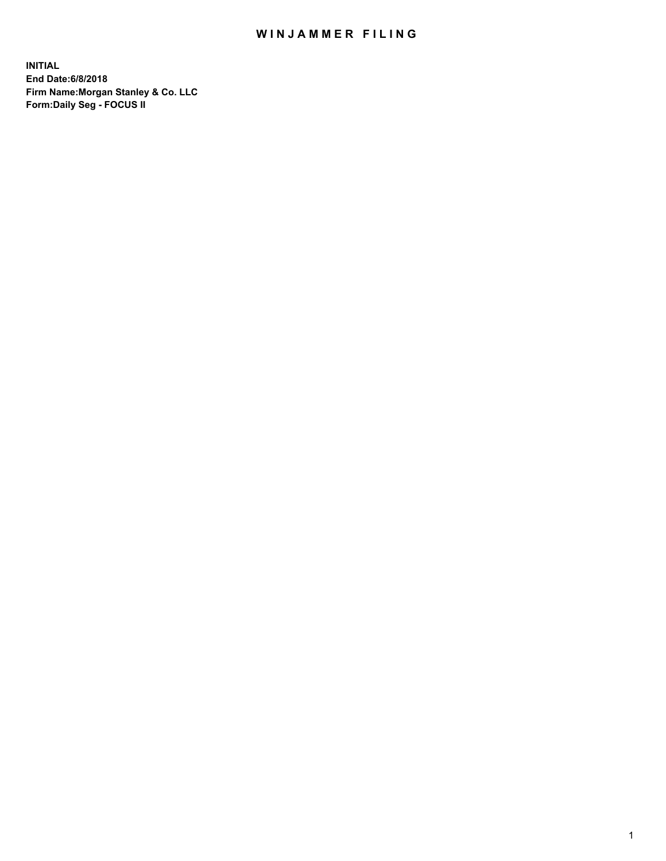## WIN JAMMER FILING

**INITIAL End Date:6/8/2018 Firm Name:Morgan Stanley & Co. LLC Form:Daily Seg - FOCUS II**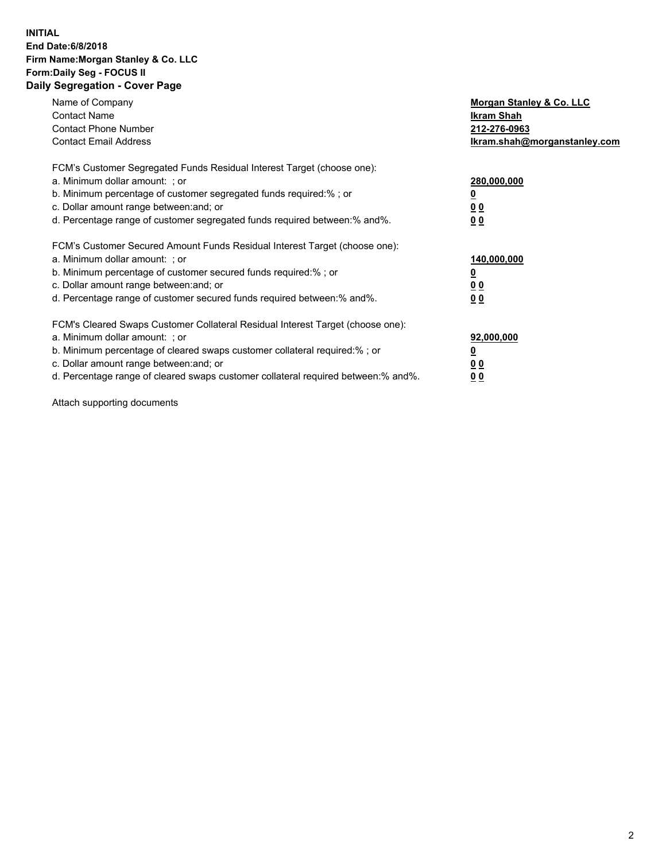#### **INITIAL End Date:6/8/2018 Firm Name:Morgan Stanley & Co. LLC Form:Daily Seg - FOCUS II Daily Segregation - Cover Page**

| Name of Company                                                                   | Morgan Stanley & Co. LLC     |
|-----------------------------------------------------------------------------------|------------------------------|
| <b>Contact Name</b>                                                               | Ikram Shah                   |
| <b>Contact Phone Number</b>                                                       | 212-276-0963                 |
| <b>Contact Email Address</b>                                                      | Ikram.shah@morganstanley.com |
| FCM's Customer Segregated Funds Residual Interest Target (choose one):            |                              |
| a. Minimum dollar amount: ; or                                                    | 280,000,000                  |
| b. Minimum percentage of customer segregated funds required:%; or                 |                              |
| c. Dollar amount range between: and; or                                           | 0 <sub>0</sub>               |
| d. Percentage range of customer segregated funds required between:% and%.         | 00                           |
| FCM's Customer Secured Amount Funds Residual Interest Target (choose one):        |                              |
| a. Minimum dollar amount: ; or                                                    | 140,000,000                  |
| b. Minimum percentage of customer secured funds required:%; or                    |                              |
| c. Dollar amount range between: and; or                                           | <u>00</u>                    |
| d. Percentage range of customer secured funds required between: % and %.          | 0 <sub>0</sub>               |
| FCM's Cleared Swaps Customer Collateral Residual Interest Target (choose one):    |                              |
| a. Minimum dollar amount: ; or                                                    | 92,000,000                   |
| b. Minimum percentage of cleared swaps customer collateral required:% ; or        |                              |
| c. Dollar amount range between: and; or                                           | 0 <sub>0</sub>               |
| d. Percentage range of cleared swaps customer collateral required between:% and%. | <u>00</u>                    |

Attach supporting documents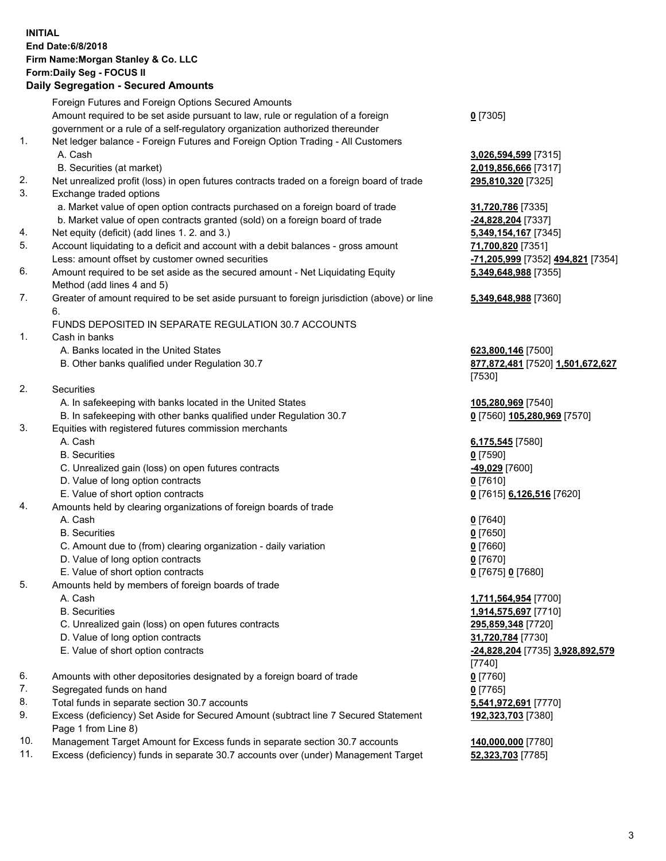## **INITIAL End Date:6/8/2018 Firm Name:Morgan Stanley & Co. LLC Form:Daily Seg - FOCUS II**

#### **Daily Segregation - Secured Amounts**

Foreign Futures and Foreign Options Secured Amounts Amount required to be set aside pursuant to law, rule or regulation of a foreign government or a rule of a self-regulatory organization authorized thereunder **0** [7305] 1. Net ledger balance - Foreign Futures and Foreign Option Trading - All Customers A. Cash **3,026,594,599** [7315] B. Securities (at market) **2,019,856,666** [7317] 2. Net unrealized profit (loss) in open futures contracts traded on a foreign board of trade **295,810,320** [7325] 3. Exchange traded options a. Market value of open option contracts purchased on a foreign board of trade **31,720,786** [7335] b. Market value of open contracts granted (sold) on a foreign board of trade **-24,828,204** [7337] 4. Net equity (deficit) (add lines 1. 2. and 3.) **5,349,154,167** [7345] 5. Account liquidating to a deficit and account with a debit balances - gross amount **71,700,820** [7351] Less: amount offset by customer owned securities **-71,205,999** [7352] **494,821** [7354] 6. Amount required to be set aside as the secured amount - Net Liquidating Equity Method (add lines 4 and 5) **5,349,648,988** [7355] 7. Greater of amount required to be set aside pursuant to foreign jurisdiction (above) or line 6. **5,349,648,988** [7360] FUNDS DEPOSITED IN SEPARATE REGULATION 30.7 ACCOUNTS 1. Cash in banks A. Banks located in the United States **623,800,146** [7500] B. Other banks qualified under Regulation 30.7 **877,872,481** [7520] **1,501,672,627** [7530] 2. Securities A. In safekeeping with banks located in the United States **105,280,969** [7540] B. In safekeeping with other banks qualified under Regulation 30.7 **0** [7560] **105,280,969** [7570] 3. Equities with registered futures commission merchants A. Cash **6,175,545** [7580] B. Securities **0** [7590] C. Unrealized gain (loss) on open futures contracts **-49,029** [7600] D. Value of long option contracts **0** [7610] E. Value of short option contracts **0** [7615] **6,126,516** [7620] 4. Amounts held by clearing organizations of foreign boards of trade A. Cash **0** [7640] B. Securities **0** [7650] C. Amount due to (from) clearing organization - daily variation **0** [7660] D. Value of long option contracts **0** [7670] E. Value of short option contracts **0** [7675] **0** [7680] 5. Amounts held by members of foreign boards of trade A. Cash **1,711,564,954** [7700] B. Securities **1,914,575,697** [7710] C. Unrealized gain (loss) on open futures contracts **295,859,348** [7720] D. Value of long option contracts **31,720,784** [7730] E. Value of short option contracts **-24,828,204** [7735] **3,928,892,579** [7740] 6. Amounts with other depositories designated by a foreign board of trade **0** [7760] 7. Segregated funds on hand **0** [7765] 8. Total funds in separate section 30.7 accounts **5,541,972,691** [7770] 9. Excess (deficiency) Set Aside for Secured Amount (subtract line 7 Secured Statement Page 1 from Line 8) **192,323,703** [7380]

- 10. Management Target Amount for Excess funds in separate section 30.7 accounts **140,000,000** [7780]
- 11. Excess (deficiency) funds in separate 30.7 accounts over (under) Management Target **52,323,703** [7785]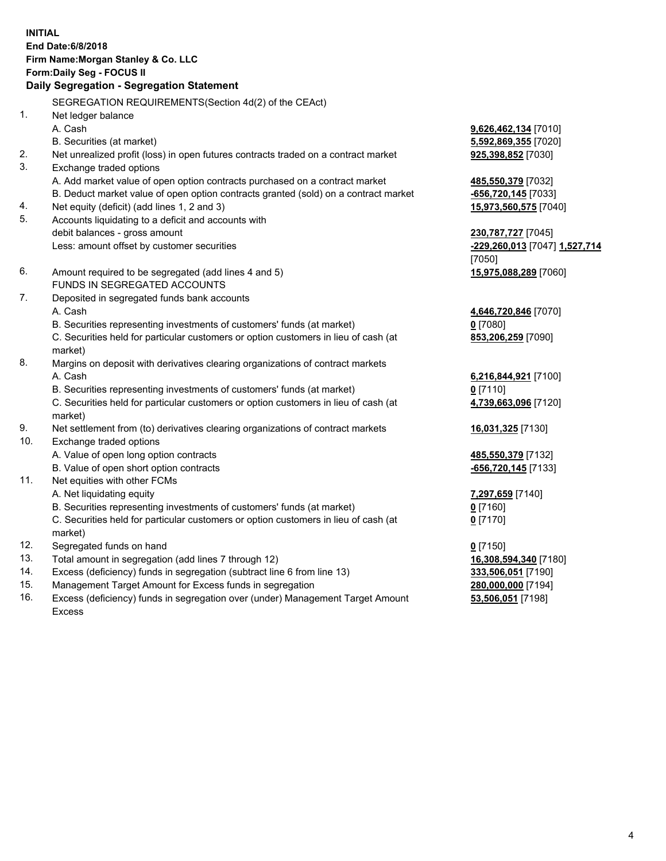## **INITIAL End Date:6/8/2018 Firm Name:Morgan Stanley & Co. LLC Form:Daily Seg - FOCUS II**

# **Daily Segregation - Segregation Statement**

SEGREGATION REQUIREMENTS(Section 4d(2) of the CEAct) 1. Net ledger balance A. Cash **9,626,462,134** [7010] B. Securities (at market) **5,592,869,355** [7020] 2. Net unrealized profit (loss) in open futures contracts traded on a contract market **925,398,852** [7030] 3. Exchange traded options A. Add market value of open option contracts purchased on a contract market **485,550,379** [7032] B. Deduct market value of open option contracts granted (sold) on a contract market **-656,720,145** [7033] 4. Net equity (deficit) (add lines 1, 2 and 3) **15,973,560,575** [7040] 5. Accounts liquidating to a deficit and accounts with debit balances - gross amount **230,787,727** [7045] Less: amount offset by customer securities **-229,260,013** [7047] **1,527,714** 6. Amount required to be segregated (add lines 4 and 5) **15,975,088,289** [7060] FUNDS IN SEGREGATED ACCOUNTS 7. Deposited in segregated funds bank accounts A. Cash **4,646,720,846** [7070] B. Securities representing investments of customers' funds (at market) **0** [7080] C. Securities held for particular customers or option customers in lieu of cash (at market) 8. Margins on deposit with derivatives clearing organizations of contract markets A. Cash **6,216,844,921** [7100] B. Securities representing investments of customers' funds (at market) **0** [7110] C. Securities held for particular customers or option customers in lieu of cash (at market) 9. Net settlement from (to) derivatives clearing organizations of contract markets **16,031,325** [7130] 10. Exchange traded options A. Value of open long option contracts **485,550,379** [7132] B. Value of open short option contracts **-656,720,145** [7133] 11. Net equities with other FCMs A. Net liquidating equity **7,297,659** [7140] B. Securities representing investments of customers' funds (at market) **0** [7160] C. Securities held for particular customers or option customers in lieu of cash (at market) 12. Segregated funds on hand **0** [7150] 13. Total amount in segregation (add lines 7 through 12) **16,308,594,340** [7180] 14. Excess (deficiency) funds in segregation (subtract line 6 from line 13) **333,506,051** [7190]

- 15. Management Target Amount for Excess funds in segregation **280,000,000** [7194]
- 16. Excess (deficiency) funds in segregation over (under) Management Target Amount Excess

[7050]

**853,206,259** [7090]

**4,739,663,096** [7120]

**0** [7170]

**53,506,051** [7198]